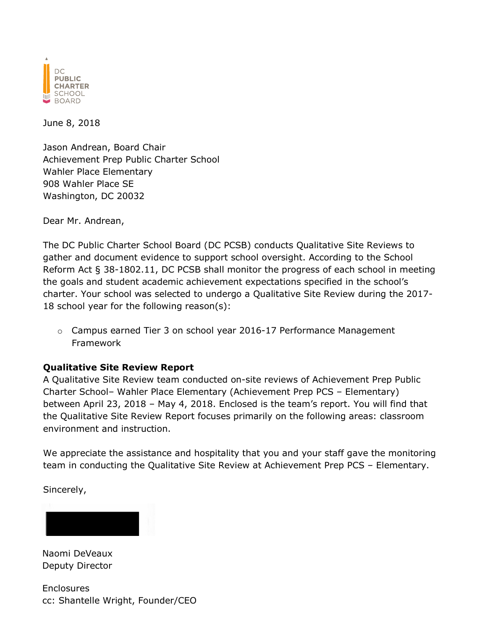

June 8, 2018

Jason Andrean, Board Chair Achievement Prep Public Charter School Wahler Place Elementary 908 Wahler Place SE Washington, DC 20032

Dear Mr. Andrean,

The DC Public Charter School Board (DC PCSB) conducts Qualitative Site Reviews to gather and document evidence to support school oversight. According to the School Reform Act § 38-1802.11, DC PCSB shall monitor the progress of each school in meeting the goals and student academic achievement expectations specified in the school's charter. Your school was selected to undergo a Qualitative Site Review during the 2017- 18 school year for the following reason(s):

o Campus earned Tier 3 on school year 2016-17 Performance Management Framework

#### **Qualitative Site Review Report**

A Qualitative Site Review team conducted on-site reviews of Achievement Prep Public Charter School– Wahler Place Elementary (Achievement Prep PCS – Elementary) between April 23, 2018 – May 4, 2018. Enclosed is the team's report. You will find that the Qualitative Site Review Report focuses primarily on the following areas: classroom environment and instruction.

We appreciate the assistance and hospitality that you and your staff gave the monitoring team in conducting the Qualitative Site Review at Achievement Prep PCS – Elementary.

Sincerely,



Naomi DeVeaux Deputy Director

**Enclosures** cc: Shantelle Wright, Founder/CEO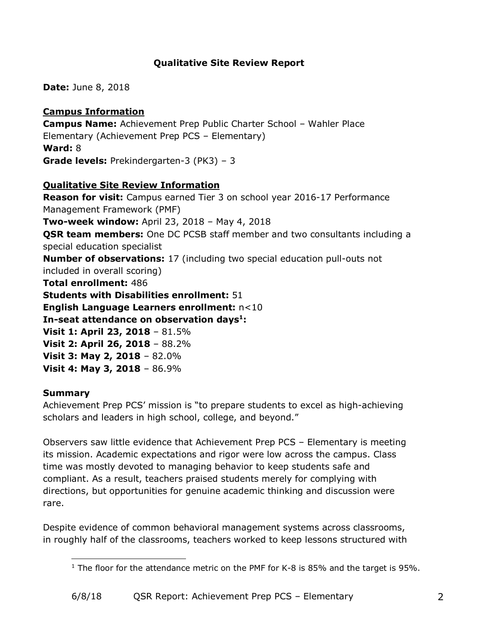## **Qualitative Site Review Report**

**Date:** June 8, 2018

## **Campus Information**

**Campus Name:** Achievement Prep Public Charter School – Wahler Place Elementary (Achievement Prep PCS – Elementary) **Ward:** 8 **Grade levels:** Prekindergarten-3 (PK3) – 3

## **Qualitative Site Review Information**

**Reason for visit:** Campus earned Tier 3 on school year 2016-17 Performance Management Framework (PMF) **Two-week window:** April 23, 2018 – May 4, 2018 **QSR team members:** One DC PCSB staff member and two consultants including a special education specialist **Number of observations:** 17 (including two special education pull-outs not included in overall scoring) **Total enrollment:** 486 **Students with Disabilities enrollment:** 51 **English Language Learners enrollment:** n<10 **In-seat attendance on observation days<sup>1</sup>: Visit 1: April 23, 2018** – 81.5% **Visit 2: April 26, 2018** – 88.2% **Visit 3: May 2, 2018** – 82.0% **Visit 4: May 3, 2018** – 86.9%

## **Summary**

Achievement Prep PCS' mission is "to prepare students to excel as high-achieving scholars and leaders in high school, college, and beyond."

Observers saw little evidence that Achievement Prep PCS – Elementary is meeting its mission. Academic expectations and rigor were low across the campus. Class time was mostly devoted to managing behavior to keep students safe and compliant. As a result, teachers praised students merely for complying with directions, but opportunities for genuine academic thinking and discussion were rare.

Despite evidence of common behavioral management systems across classrooms, in roughly half of the classrooms, teachers worked to keep lessons structured with

 $\overline{a}$ <sup>1</sup> The floor for the attendance metric on the PMF for K-8 is 85% and the target is 95%.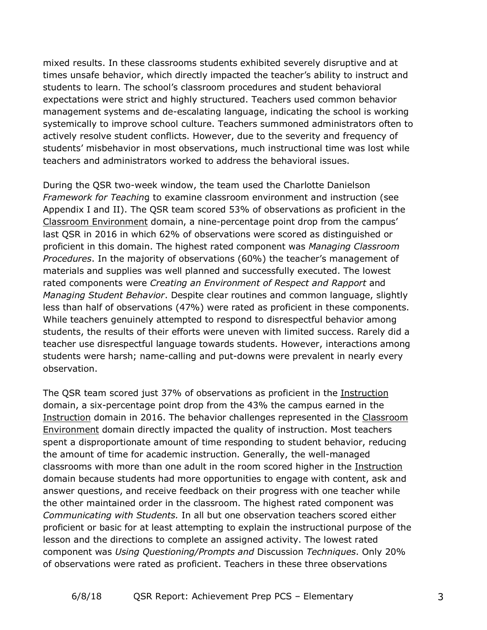mixed results. In these classrooms students exhibited severely disruptive and at times unsafe behavior, which directly impacted the teacher's ability to instruct and students to learn. The school's classroom procedures and student behavioral expectations were strict and highly structured. Teachers used common behavior management systems and de-escalating language, indicating the school is working systemically to improve school culture. Teachers summoned administrators often to actively resolve student conflicts. However, due to the severity and frequency of students' misbehavior in most observations, much instructional time was lost while teachers and administrators worked to address the behavioral issues.

During the QSR two-week window, the team used the Charlotte Danielson *Framework for Teachin*g to examine classroom environment and instruction (see Appendix I and II). The QSR team scored 53% of observations as proficient in the Classroom Environment domain, a nine-percentage point drop from the campus' last QSR in 2016 in which 62% of observations were scored as distinguished or proficient in this domain. The highest rated component was *Managing Classroom Procedures*. In the majority of observations (60%) the teacher's management of materials and supplies was well planned and successfully executed. The lowest rated components were *Creating an Environment of Respect and Rapport* and *Managing Student Behavior*. Despite clear routines and common language, slightly less than half of observations (47%) were rated as proficient in these components. While teachers genuinely attempted to respond to disrespectful behavior among students, the results of their efforts were uneven with limited success. Rarely did a teacher use disrespectful language towards students. However, interactions among students were harsh; name-calling and put-downs were prevalent in nearly every observation.

The QSR team scored just 37% of observations as proficient in the Instruction domain, a six-percentage point drop from the 43% the campus earned in the Instruction domain in 2016. The behavior challenges represented in the Classroom Environment domain directly impacted the quality of instruction. Most teachers spent a disproportionate amount of time responding to student behavior, reducing the amount of time for academic instruction. Generally, the well-managed classrooms with more than one adult in the room scored higher in the Instruction domain because students had more opportunities to engage with content, ask and answer questions, and receive feedback on their progress with one teacher while the other maintained order in the classroom. The highest rated component was *Communicating with Students.* In all but one observation teachers scored either proficient or basic for at least attempting to explain the instructional purpose of the lesson and the directions to complete an assigned activity. The lowest rated component was *Using Questioning/Prompts and* Discussion *Techniques*. Only 20% of observations were rated as proficient. Teachers in these three observations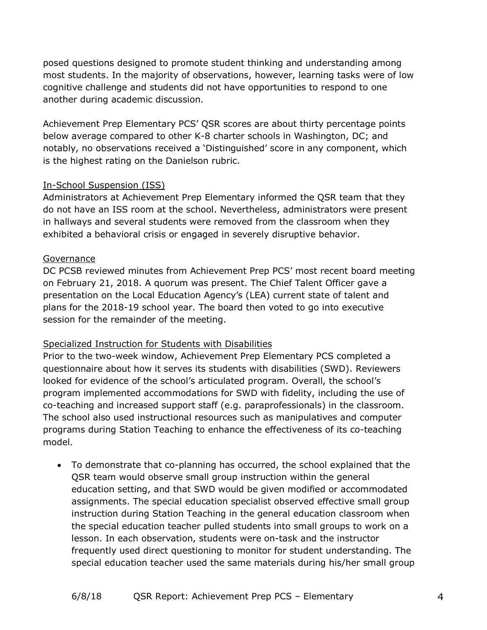posed questions designed to promote student thinking and understanding among most students. In the majority of observations, however, learning tasks were of low cognitive challenge and students did not have opportunities to respond to one another during academic discussion.

Achievement Prep Elementary PCS' QSR scores are about thirty percentage points below average compared to other K-8 charter schools in Washington, DC; and notably, no observations received a 'Distinguished' score in any component, which is the highest rating on the Danielson rubric.

### In-School Suspension (ISS)

Administrators at Achievement Prep Elementary informed the QSR team that they do not have an ISS room at the school. Nevertheless, administrators were present in hallways and several students were removed from the classroom when they exhibited a behavioral crisis or engaged in severely disruptive behavior.

### Governance

DC PCSB reviewed minutes from Achievement Prep PCS' most recent board meeting on February 21, 2018. A quorum was present. The Chief Talent Officer gave a presentation on the Local Education Agency's (LEA) current state of talent and plans for the 2018-19 school year. The board then voted to go into executive session for the remainder of the meeting.

## Specialized Instruction for Students with Disabilities

Prior to the two-week window, Achievement Prep Elementary PCS completed a questionnaire about how it serves its students with disabilities (SWD). Reviewers looked for evidence of the school's articulated program. Overall, the school's program implemented accommodations for SWD with fidelity, including the use of co-teaching and increased support staff (e.g. paraprofessionals) in the classroom. The school also used instructional resources such as manipulatives and computer programs during Station Teaching to enhance the effectiveness of its co-teaching model.

• To demonstrate that co-planning has occurred, the school explained that the QSR team would observe small group instruction within the general education setting, and that SWD would be given modified or accommodated assignments. The special education specialist observed effective small group instruction during Station Teaching in the general education classroom when the special education teacher pulled students into small groups to work on a lesson. In each observation, students were on-task and the instructor frequently used direct questioning to monitor for student understanding. The special education teacher used the same materials during his/her small group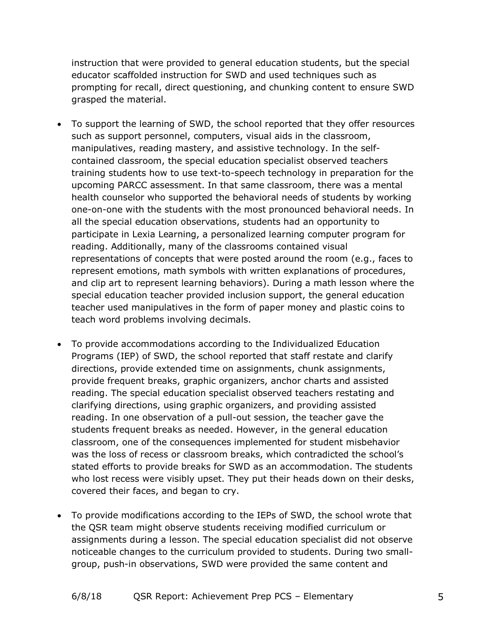instruction that were provided to general education students, but the special educator scaffolded instruction for SWD and used techniques such as prompting for recall, direct questioning, and chunking content to ensure SWD grasped the material.

- To support the learning of SWD, the school reported that they offer resources such as support personnel, computers, visual aids in the classroom, manipulatives, reading mastery, and assistive technology. In the selfcontained classroom, the special education specialist observed teachers training students how to use text-to-speech technology in preparation for the upcoming PARCC assessment. In that same classroom, there was a mental health counselor who supported the behavioral needs of students by working one-on-one with the students with the most pronounced behavioral needs. In all the special education observations, students had an opportunity to participate in Lexia Learning, a personalized learning computer program for reading. Additionally, many of the classrooms contained visual representations of concepts that were posted around the room (e.g., faces to represent emotions, math symbols with written explanations of procedures, and clip art to represent learning behaviors). During a math lesson where the special education teacher provided inclusion support, the general education teacher used manipulatives in the form of paper money and plastic coins to teach word problems involving decimals.
- To provide accommodations according to the Individualized Education Programs (IEP) of SWD, the school reported that staff restate and clarify directions, provide extended time on assignments, chunk assignments, provide frequent breaks, graphic organizers, anchor charts and assisted reading. The special education specialist observed teachers restating and clarifying directions, using graphic organizers, and providing assisted reading. In one observation of a pull-out session, the teacher gave the students frequent breaks as needed. However, in the general education classroom, one of the consequences implemented for student misbehavior was the loss of recess or classroom breaks, which contradicted the school's stated efforts to provide breaks for SWD as an accommodation. The students who lost recess were visibly upset. They put their heads down on their desks, covered their faces, and began to cry.
- To provide modifications according to the IEPs of SWD, the school wrote that the QSR team might observe students receiving modified curriculum or assignments during a lesson. The special education specialist did not observe noticeable changes to the curriculum provided to students. During two smallgroup, push-in observations, SWD were provided the same content and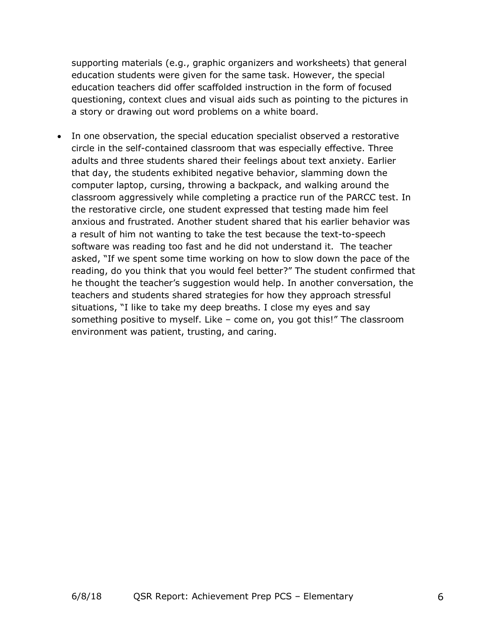supporting materials (e.g., graphic organizers and worksheets) that general education students were given for the same task. However, the special education teachers did offer scaffolded instruction in the form of focused questioning, context clues and visual aids such as pointing to the pictures in a story or drawing out word problems on a white board.

• In one observation, the special education specialist observed a restorative circle in the self-contained classroom that was especially effective. Three adults and three students shared their feelings about text anxiety. Earlier that day, the students exhibited negative behavior, slamming down the computer laptop, cursing, throwing a backpack, and walking around the classroom aggressively while completing a practice run of the PARCC test. In the restorative circle, one student expressed that testing made him feel anxious and frustrated. Another student shared that his earlier behavior was a result of him not wanting to take the test because the text-to-speech software was reading too fast and he did not understand it. The teacher asked, "If we spent some time working on how to slow down the pace of the reading, do you think that you would feel better?" The student confirmed that he thought the teacher's suggestion would help. In another conversation, the teachers and students shared strategies for how they approach stressful situations, "I like to take my deep breaths. I close my eyes and say something positive to myself. Like – come on, you got this!" The classroom environment was patient, trusting, and caring.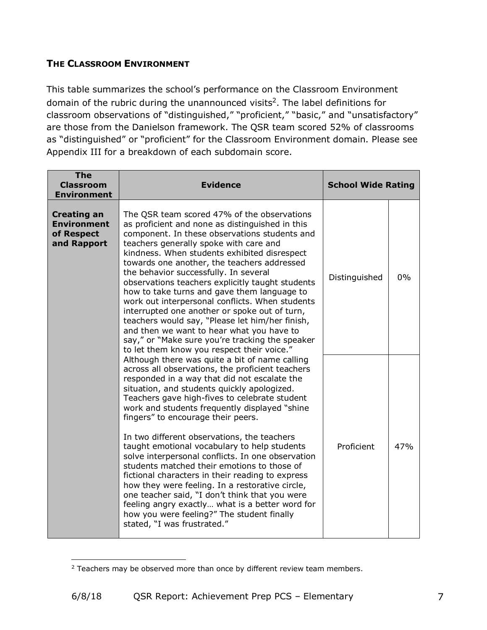## **THE CLASSROOM ENVIRONMENT**

This table summarizes the school's performance on the Classroom Environment domain of the rubric during the unannounced visits<sup>2</sup>. The label definitions for classroom observations of "distinguished," "proficient," "basic," and "unsatisfactory" are those from the Danielson framework. The QSR team scored 52% of classrooms as "distinguished" or "proficient" for the Classroom Environment domain. Please see Appendix III for a breakdown of each subdomain score.

| <b>The</b><br><b>Classroom</b><br><b>Environment</b>                  | <b>Evidence</b>                                                                                                                                                                                                                                                                                                                                                                                                                                                                                                                                                                                                                                                                                                                                                                                                                        | <b>School Wide Rating</b> |     |
|-----------------------------------------------------------------------|----------------------------------------------------------------------------------------------------------------------------------------------------------------------------------------------------------------------------------------------------------------------------------------------------------------------------------------------------------------------------------------------------------------------------------------------------------------------------------------------------------------------------------------------------------------------------------------------------------------------------------------------------------------------------------------------------------------------------------------------------------------------------------------------------------------------------------------|---------------------------|-----|
| <b>Creating an</b><br><b>Environment</b><br>of Respect<br>and Rapport | The QSR team scored 47% of the observations<br>as proficient and none as distinguished in this<br>component. In these observations students and<br>teachers generally spoke with care and<br>kindness. When students exhibited disrespect<br>towards one another, the teachers addressed<br>the behavior successfully. In several<br>observations teachers explicitly taught students<br>how to take turns and gave them language to<br>work out interpersonal conflicts. When students<br>interrupted one another or spoke out of turn,<br>teachers would say, "Please let him/her finish,<br>and then we want to hear what you have to<br>say," or "Make sure you're tracking the speaker<br>to let them know you respect their voice."                                                                                              | Distinguished             | 0%  |
|                                                                       | Although there was quite a bit of name calling<br>across all observations, the proficient teachers<br>responded in a way that did not escalate the<br>situation, and students quickly apologized.<br>Teachers gave high-fives to celebrate student<br>work and students frequently displayed "shine"<br>fingers" to encourage their peers.<br>In two different observations, the teachers<br>taught emotional vocabulary to help students<br>solve interpersonal conflicts. In one observation<br>students matched their emotions to those of<br>fictional characters in their reading to express<br>how they were feeling. In a restorative circle,<br>one teacher said, "I don't think that you were<br>feeling angry exactly what is a better word for<br>how you were feeling?" The student finally<br>stated, "I was frustrated." | Proficient                | 47% |

<sup>&</sup>lt;sup>2</sup> Teachers may be observed more than once by different review team members.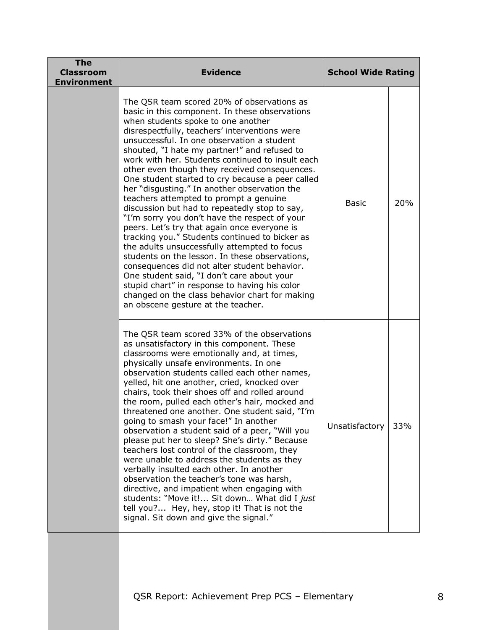| <b>The</b><br><b>Classroom</b><br><b>Environment</b> | <b>Evidence</b>                                                                                                                                                                                                                                                                                                                                                                                                                                                                                                                                                                                                                                                                                                                                                                                                                                                                                                                                                                                                                                                                   | <b>School Wide Rating</b> |     |
|------------------------------------------------------|-----------------------------------------------------------------------------------------------------------------------------------------------------------------------------------------------------------------------------------------------------------------------------------------------------------------------------------------------------------------------------------------------------------------------------------------------------------------------------------------------------------------------------------------------------------------------------------------------------------------------------------------------------------------------------------------------------------------------------------------------------------------------------------------------------------------------------------------------------------------------------------------------------------------------------------------------------------------------------------------------------------------------------------------------------------------------------------|---------------------------|-----|
|                                                      | The QSR team scored 20% of observations as<br>basic in this component. In these observations<br>when students spoke to one another<br>disrespectfully, teachers' interventions were<br>unsuccessful. In one observation a student<br>shouted, "I hate my partner!" and refused to<br>work with her. Students continued to insult each<br>other even though they received consequences.<br>One student started to cry because a peer called<br>her "disgusting." In another observation the<br>teachers attempted to prompt a genuine<br>discussion but had to repeatedly stop to say,<br>"I'm sorry you don't have the respect of your<br>peers. Let's try that again once everyone is<br>tracking you." Students continued to bicker as<br>the adults unsuccessfully attempted to focus<br>students on the lesson. In these observations,<br>consequences did not alter student behavior.<br>One student said, "I don't care about your<br>stupid chart" in response to having his color<br>changed on the class behavior chart for making<br>an obscene gesture at the teacher. | <b>Basic</b>              | 20% |
|                                                      | The QSR team scored 33% of the observations<br>as unsatisfactory in this component. These<br>classrooms were emotionally and, at times,<br>physically unsafe environments. In one<br>observation students called each other names,<br>yelled, hit one another, cried, knocked over<br>chairs, took their shoes off and rolled around<br>the room, pulled each other's hair, mocked and<br>threatened one another. One student said, "I'm<br>going to smash your face!" In another<br>observation a student said of a peer, "Will you<br>please put her to sleep? She's dirty." Because<br>teachers lost control of the classroom, they<br>were unable to address the students as they<br>verbally insulted each other. In another<br>observation the teacher's tone was harsh,<br>directive, and impatient when engaging with<br>students: "Move it! Sit down What did I just<br>tell you? Hey, hey, stop it! That is not the<br>signal. Sit down and give the signal."                                                                                                           | Unsatisfactory            | 33% |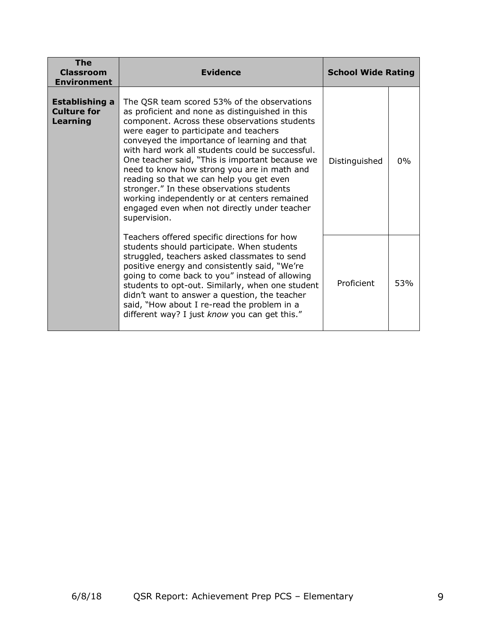| The<br><b>Classroom</b><br><b>Environment</b>           | <b>Evidence</b>                                                                                                                                                                                                                                                                                                                                                                                                                                                                                                                                                                                          | <b>School Wide Rating</b> |       |
|---------------------------------------------------------|----------------------------------------------------------------------------------------------------------------------------------------------------------------------------------------------------------------------------------------------------------------------------------------------------------------------------------------------------------------------------------------------------------------------------------------------------------------------------------------------------------------------------------------------------------------------------------------------------------|---------------------------|-------|
| <b>Establishing a</b><br><b>Culture for</b><br>Learning | The QSR team scored 53% of the observations<br>as proficient and none as distinguished in this<br>component. Across these observations students<br>were eager to participate and teachers<br>conveyed the importance of learning and that<br>with hard work all students could be successful.<br>One teacher said, "This is important because we<br>need to know how strong you are in math and<br>reading so that we can help you get even<br>stronger." In these observations students<br>working independently or at centers remained<br>engaged even when not directly under teacher<br>supervision. | Distinguished             | $0\%$ |
|                                                         | Teachers offered specific directions for how<br>students should participate. When students<br>struggled, teachers asked classmates to send<br>positive energy and consistently said, "We're<br>going to come back to you" instead of allowing<br>students to opt-out. Similarly, when one student<br>didn't want to answer a question, the teacher<br>said, "How about I re-read the problem in a<br>different way? I just know you can get this."                                                                                                                                                       | Proficient                | 53%   |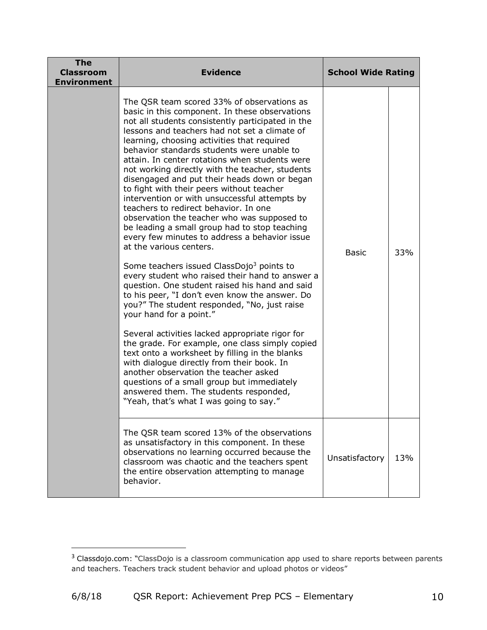| <b>The</b><br><b>Classroom</b><br><b>Environment</b> | <b>Evidence</b>                                                                                                                                                                                                                                                                                                                                                                                                                                                                                                                                                                                                                                                                                                                                                                                                                                                                                                                                                                                                                                                                                                                                                                                                                                                                                                                                                                                                                                      | <b>School Wide Rating</b> |     |
|------------------------------------------------------|------------------------------------------------------------------------------------------------------------------------------------------------------------------------------------------------------------------------------------------------------------------------------------------------------------------------------------------------------------------------------------------------------------------------------------------------------------------------------------------------------------------------------------------------------------------------------------------------------------------------------------------------------------------------------------------------------------------------------------------------------------------------------------------------------------------------------------------------------------------------------------------------------------------------------------------------------------------------------------------------------------------------------------------------------------------------------------------------------------------------------------------------------------------------------------------------------------------------------------------------------------------------------------------------------------------------------------------------------------------------------------------------------------------------------------------------------|---------------------------|-----|
|                                                      | The QSR team scored 33% of observations as<br>basic in this component. In these observations<br>not all students consistently participated in the<br>lessons and teachers had not set a climate of<br>learning, choosing activities that required<br>behavior standards students were unable to<br>attain. In center rotations when students were<br>not working directly with the teacher, students<br>disengaged and put their heads down or began<br>to fight with their peers without teacher<br>intervention or with unsuccessful attempts by<br>teachers to redirect behavior. In one<br>observation the teacher who was supposed to<br>be leading a small group had to stop teaching<br>every few minutes to address a behavior issue<br>at the various centers.<br>Some teachers issued ClassDojo <sup>3</sup> points to<br>every student who raised their hand to answer a<br>question. One student raised his hand and said<br>to his peer, "I don't even know the answer. Do<br>you?" The student responded, "No, just raise<br>your hand for a point."<br>Several activities lacked appropriate rigor for<br>the grade. For example, one class simply copied<br>text onto a worksheet by filling in the blanks<br>with dialogue directly from their book. In<br>another observation the teacher asked<br>questions of a small group but immediately<br>answered them. The students responded,<br>"Yeah, that's what I was going to say." | <b>Basic</b>              | 33% |
|                                                      | The QSR team scored 13% of the observations<br>as unsatisfactory in this component. In these<br>observations no learning occurred because the<br>classroom was chaotic and the teachers spent<br>the entire observation attempting to manage<br>behavior.                                                                                                                                                                                                                                                                                                                                                                                                                                                                                                                                                                                                                                                                                                                                                                                                                                                                                                                                                                                                                                                                                                                                                                                            | Unsatisfactory            | 13% |

 $3$  Classdojo.com: "ClassDojo is a classroom communication app used to share reports between parents and teachers. Teachers track student behavior and upload photos or videos"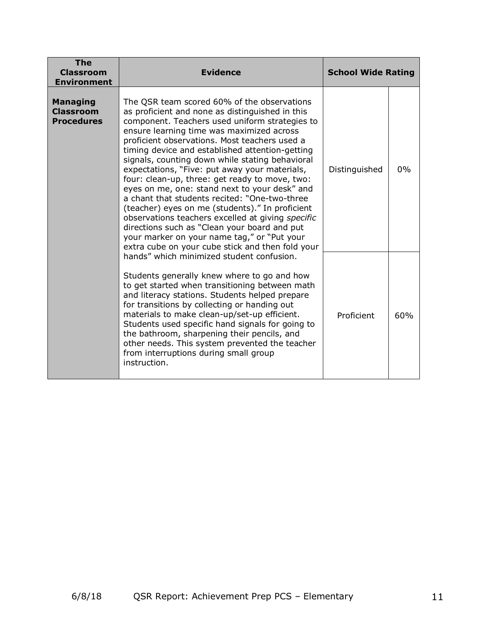| The<br><b>Classroom</b><br><b>Environment</b>            | <b>Evidence</b>                                                                                                                                                                                                                                                                                                                                                                                                                                                                                                                                                                                                                                                                                                                                                                                                      | <b>School Wide Rating</b> |       |
|----------------------------------------------------------|----------------------------------------------------------------------------------------------------------------------------------------------------------------------------------------------------------------------------------------------------------------------------------------------------------------------------------------------------------------------------------------------------------------------------------------------------------------------------------------------------------------------------------------------------------------------------------------------------------------------------------------------------------------------------------------------------------------------------------------------------------------------------------------------------------------------|---------------------------|-------|
| <b>Managing</b><br><b>Classroom</b><br><b>Procedures</b> | The QSR team scored 60% of the observations<br>as proficient and none as distinguished in this<br>component. Teachers used uniform strategies to<br>ensure learning time was maximized across<br>proficient observations. Most teachers used a<br>timing device and established attention-getting<br>signals, counting down while stating behavioral<br>expectations, "Five: put away your materials,<br>four: clean-up, three: get ready to move, two:<br>eyes on me, one: stand next to your desk" and<br>a chant that students recited: "One-two-three<br>(teacher) eyes on me (students)." In proficient<br>observations teachers excelled at giving specific<br>directions such as "Clean your board and put<br>your marker on your name tag," or "Put your<br>extra cube on your cube stick and then fold your | Distinguished             | $0\%$ |
|                                                          | hands" which minimized student confusion.<br>Students generally knew where to go and how<br>to get started when transitioning between math<br>and literacy stations. Students helped prepare<br>for transitions by collecting or handing out<br>materials to make clean-up/set-up efficient.<br>Students used specific hand signals for going to<br>the bathroom, sharpening their pencils, and<br>other needs. This system prevented the teacher<br>from interruptions during small group<br>instruction.                                                                                                                                                                                                                                                                                                           | Proficient                | 60%   |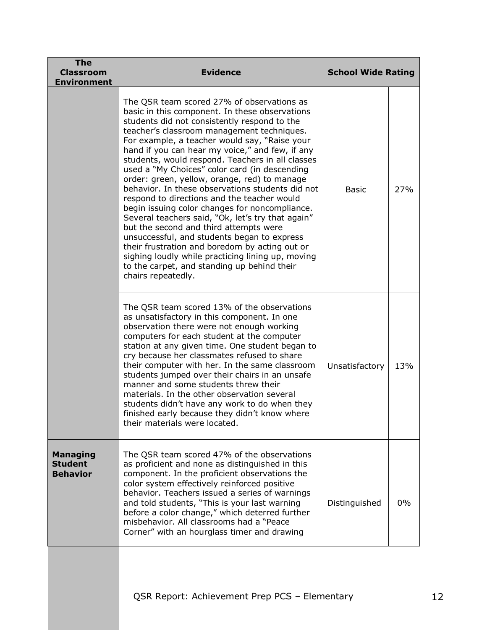| <b>The</b><br><b>Classroom</b><br><b>Environment</b> | <b>Evidence</b>                                                                                                                                                                                                                                                                                                                                                                                                                                                                                                                                                                                                                                                                                                                                                                                                                                                                                                                    | <b>School Wide Rating</b> |     |
|------------------------------------------------------|------------------------------------------------------------------------------------------------------------------------------------------------------------------------------------------------------------------------------------------------------------------------------------------------------------------------------------------------------------------------------------------------------------------------------------------------------------------------------------------------------------------------------------------------------------------------------------------------------------------------------------------------------------------------------------------------------------------------------------------------------------------------------------------------------------------------------------------------------------------------------------------------------------------------------------|---------------------------|-----|
|                                                      | The QSR team scored 27% of observations as<br>basic in this component. In these observations<br>students did not consistently respond to the<br>teacher's classroom management techniques.<br>For example, a teacher would say, "Raise your<br>hand if you can hear my voice," and few, if any<br>students, would respond. Teachers in all classes<br>used a "My Choices" color card (in descending<br>order: green, yellow, orange, red) to manage<br>behavior. In these observations students did not<br>respond to directions and the teacher would<br>begin issuing color changes for noncompliance.<br>Several teachers said, "Ok, let's try that again"<br>but the second and third attempts were<br>unsuccessful, and students began to express<br>their frustration and boredom by acting out or<br>sighing loudly while practicing lining up, moving<br>to the carpet, and standing up behind their<br>chairs repeatedly. | Basic                     | 27% |
|                                                      | The QSR team scored 13% of the observations<br>as unsatisfactory in this component. In one<br>observation there were not enough working<br>computers for each student at the computer<br>station at any given time. One student began to<br>cry because her classmates refused to share<br>their computer with her. In the same classroom<br>students jumped over their chairs in an unsafe<br>manner and some students threw their<br>materials. In the other observation several<br>students didn't have any work to do when they<br>finished early because they didn't know where<br>their materials were located.                                                                                                                                                                                                                                                                                                              | Unsatisfactory            | 13% |
| <b>Managing</b><br><b>Student</b><br><b>Behavior</b> | The QSR team scored 47% of the observations<br>as proficient and none as distinguished in this<br>component. In the proficient observations the<br>color system effectively reinforced positive<br>behavior. Teachers issued a series of warnings<br>and told students, "This is your last warning<br>before a color change," which deterred further<br>misbehavior. All classrooms had a "Peace<br>Corner" with an hourglass timer and drawing                                                                                                                                                                                                                                                                                                                                                                                                                                                                                    | Distinguished             | 0%  |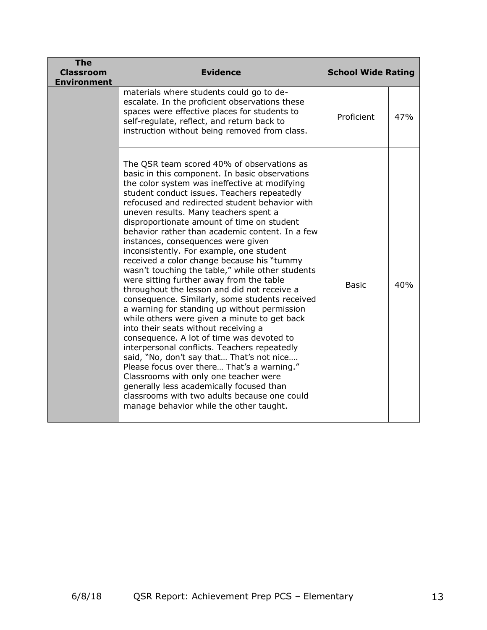| <b>The</b><br><b>Classroom</b><br><b>Environment</b> | <b>Evidence</b>                                                                                                                                                                                                                                                                                                                                                                                                                                                                                                                                                                                                                                                                                                                                                                                                                                                                                                                                                                                                                                                                                                                                                                                                                           | <b>School Wide Rating</b> |     |
|------------------------------------------------------|-------------------------------------------------------------------------------------------------------------------------------------------------------------------------------------------------------------------------------------------------------------------------------------------------------------------------------------------------------------------------------------------------------------------------------------------------------------------------------------------------------------------------------------------------------------------------------------------------------------------------------------------------------------------------------------------------------------------------------------------------------------------------------------------------------------------------------------------------------------------------------------------------------------------------------------------------------------------------------------------------------------------------------------------------------------------------------------------------------------------------------------------------------------------------------------------------------------------------------------------|---------------------------|-----|
|                                                      | materials where students could go to de-<br>escalate. In the proficient observations these<br>spaces were effective places for students to<br>self-regulate, reflect, and return back to<br>instruction without being removed from class.                                                                                                                                                                                                                                                                                                                                                                                                                                                                                                                                                                                                                                                                                                                                                                                                                                                                                                                                                                                                 | Proficient                | 47% |
|                                                      | The QSR team scored 40% of observations as<br>basic in this component. In basic observations<br>the color system was ineffective at modifying<br>student conduct issues. Teachers repeatedly<br>refocused and redirected student behavior with<br>uneven results. Many teachers spent a<br>disproportionate amount of time on student<br>behavior rather than academic content. In a few<br>instances, consequences were given<br>inconsistently. For example, one student<br>received a color change because his "tummy<br>wasn't touching the table," while other students<br>were sitting further away from the table<br>throughout the lesson and did not receive a<br>consequence. Similarly, some students received<br>a warning for standing up without permission<br>while others were given a minute to get back<br>into their seats without receiving a<br>consequence. A lot of time was devoted to<br>interpersonal conflicts. Teachers repeatedly<br>said, "No, don't say that That's not nice<br>Please focus over there That's a warning."<br>Classrooms with only one teacher were<br>generally less academically focused than<br>classrooms with two adults because one could<br>manage behavior while the other taught. | <b>Basic</b>              | 40% |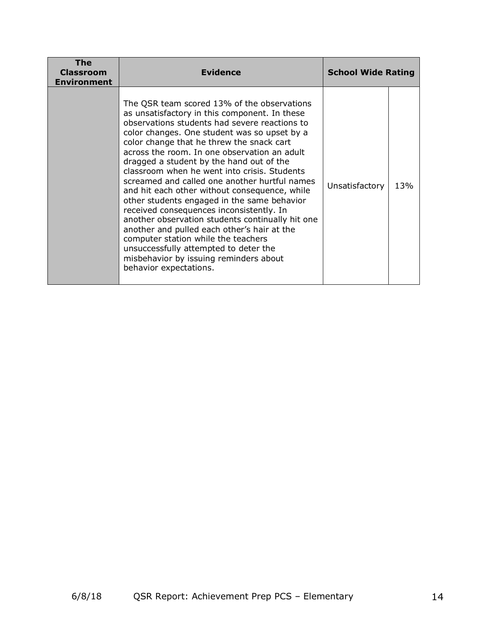| The<br><b>Classroom</b><br><b>Environment</b> | <b>Evidence</b>                                                                                                                                                                                                                                                                                                                                                                                                                                                                                                                                                                                                                                                                                                                                                                                                                            | <b>School Wide Rating</b> |     |
|-----------------------------------------------|--------------------------------------------------------------------------------------------------------------------------------------------------------------------------------------------------------------------------------------------------------------------------------------------------------------------------------------------------------------------------------------------------------------------------------------------------------------------------------------------------------------------------------------------------------------------------------------------------------------------------------------------------------------------------------------------------------------------------------------------------------------------------------------------------------------------------------------------|---------------------------|-----|
|                                               | The QSR team scored 13% of the observations<br>as unsatisfactory in this component. In these<br>observations students had severe reactions to<br>color changes. One student was so upset by a<br>color change that he threw the snack cart<br>across the room. In one observation an adult<br>dragged a student by the hand out of the<br>classroom when he went into crisis. Students<br>screamed and called one another hurtful names<br>and hit each other without consequence, while<br>other students engaged in the same behavior<br>received consequences inconsistently. In<br>another observation students continually hit one<br>another and pulled each other's hair at the<br>computer station while the teachers<br>unsuccessfully attempted to deter the<br>misbehavior by issuing reminders about<br>behavior expectations. | Unsatisfactory            | 13% |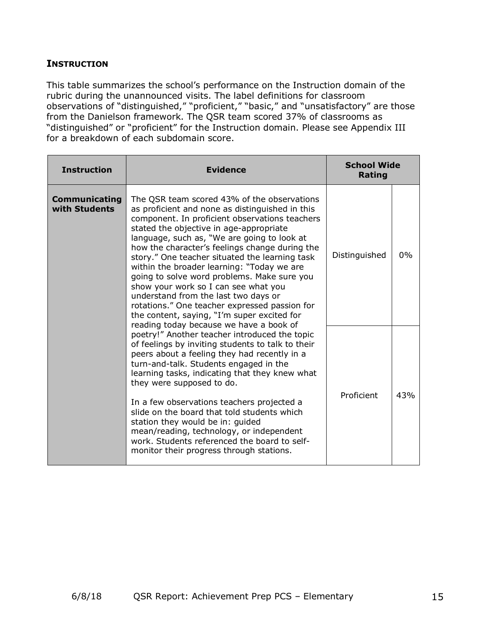### **INSTRUCTION**

This table summarizes the school's performance on the Instruction domain of the rubric during the unannounced visits. The label definitions for classroom observations of "distinguished," "proficient," "basic," and "unsatisfactory" are those from the Danielson framework. The QSR team scored 37% of classrooms as "distinguished" or "proficient" for the Instruction domain. Please see Appendix III for a breakdown of each subdomain score.

| <b>Instruction</b>                    | <b>Evidence</b>                                                                                                                                                                                                                                                                                                                                                                                                                                                                                                                                                                                                                                                        | <b>School Wide</b><br><b>Rating</b> |     |
|---------------------------------------|------------------------------------------------------------------------------------------------------------------------------------------------------------------------------------------------------------------------------------------------------------------------------------------------------------------------------------------------------------------------------------------------------------------------------------------------------------------------------------------------------------------------------------------------------------------------------------------------------------------------------------------------------------------------|-------------------------------------|-----|
| <b>Communicating</b><br>with Students | The QSR team scored 43% of the observations<br>as proficient and none as distinguished in this<br>component. In proficient observations teachers<br>stated the objective in age-appropriate<br>language, such as, "We are going to look at<br>how the character's feelings change during the<br>story." One teacher situated the learning task<br>within the broader learning: "Today we are<br>going to solve word problems. Make sure you<br>show your work so I can see what you<br>understand from the last two days or<br>rotations." One teacher expressed passion for<br>the content, saying, "I'm super excited for<br>reading today because we have a book of | Distinguished                       | 0%  |
|                                       | poetry!" Another teacher introduced the topic<br>of feelings by inviting students to talk to their<br>peers about a feeling they had recently in a<br>turn-and-talk. Students engaged in the<br>learning tasks, indicating that they knew what<br>they were supposed to do.<br>In a few observations teachers projected a<br>slide on the board that told students which<br>station they would be in: guided<br>mean/reading, technology, or independent<br>work. Students referenced the board to self-<br>monitor their progress through stations.                                                                                                                   | Proficient                          | 43% |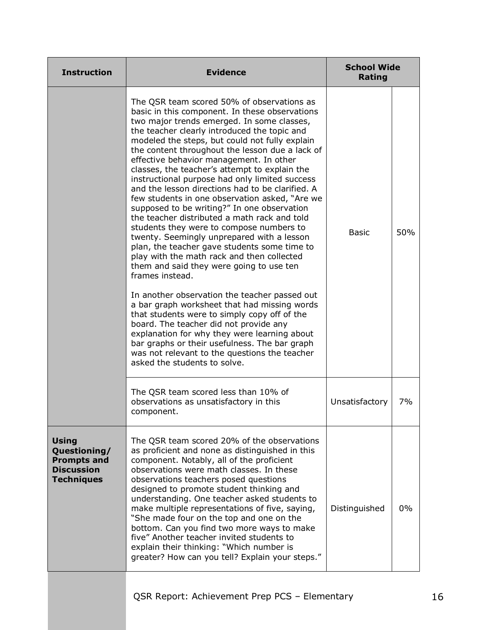| <b>Instruction</b>                                                                           | <b>Evidence</b>                                                                                                                                                                                                                                                                                                                                                                                                                                                                                                                                                                                                                                                                                                                                                                                                                                                                                                                                                                                                                                                                                                                                                                                                                                                                        | <b>School Wide</b><br>Rating |     |
|----------------------------------------------------------------------------------------------|----------------------------------------------------------------------------------------------------------------------------------------------------------------------------------------------------------------------------------------------------------------------------------------------------------------------------------------------------------------------------------------------------------------------------------------------------------------------------------------------------------------------------------------------------------------------------------------------------------------------------------------------------------------------------------------------------------------------------------------------------------------------------------------------------------------------------------------------------------------------------------------------------------------------------------------------------------------------------------------------------------------------------------------------------------------------------------------------------------------------------------------------------------------------------------------------------------------------------------------------------------------------------------------|------------------------------|-----|
|                                                                                              | The QSR team scored 50% of observations as<br>basic in this component. In these observations<br>two major trends emerged. In some classes,<br>the teacher clearly introduced the topic and<br>modeled the steps, but could not fully explain<br>the content throughout the lesson due a lack of<br>effective behavior management. In other<br>classes, the teacher's attempt to explain the<br>instructional purpose had only limited success<br>and the lesson directions had to be clarified. A<br>few students in one observation asked, "Are we<br>supposed to be writing?" In one observation<br>the teacher distributed a math rack and told<br>students they were to compose numbers to<br>twenty. Seemingly unprepared with a lesson<br>plan, the teacher gave students some time to<br>play with the math rack and then collected<br>them and said they were going to use ten<br>frames instead.<br>In another observation the teacher passed out<br>a bar graph worksheet that had missing words<br>that students were to simply copy off of the<br>board. The teacher did not provide any<br>explanation for why they were learning about<br>bar graphs or their usefulness. The bar graph<br>was not relevant to the questions the teacher<br>asked the students to solve. | <b>Basic</b>                 | 50% |
|                                                                                              | The QSR team scored less than 10% of<br>observations as unsatisfactory in this<br>component.                                                                                                                                                                                                                                                                                                                                                                                                                                                                                                                                                                                                                                                                                                                                                                                                                                                                                                                                                                                                                                                                                                                                                                                           | Unsatisfactory               | 7%  |
| <b>Using</b><br>Questioning/<br><b>Prompts and</b><br><b>Discussion</b><br><b>Techniques</b> | The QSR team scored 20% of the observations<br>as proficient and none as distinguished in this<br>component. Notably, all of the proficient<br>observations were math classes. In these<br>observations teachers posed questions<br>designed to promote student thinking and<br>understanding. One teacher asked students to<br>make multiple representations of five, saying,<br>"She made four on the top and one on the<br>bottom. Can you find two more ways to make<br>five" Another teacher invited students to<br>explain their thinking: "Which number is<br>greater? How can you tell? Explain your steps."                                                                                                                                                                                                                                                                                                                                                                                                                                                                                                                                                                                                                                                                   | Distinguished                | 0%  |
|                                                                                              |                                                                                                                                                                                                                                                                                                                                                                                                                                                                                                                                                                                                                                                                                                                                                                                                                                                                                                                                                                                                                                                                                                                                                                                                                                                                                        |                              |     |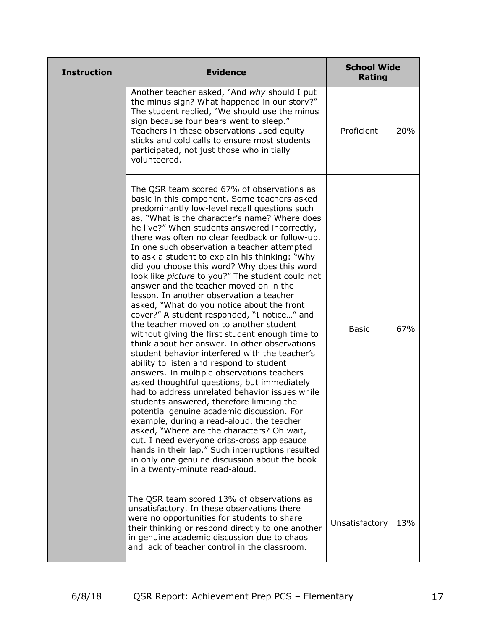| <b>Instruction</b> | <b>Evidence</b>                                                                                                                                                                                                                                                                                                                                                                                                                                                                                                                                                                                                                                                                                                                                                                                                                                                                                                                                                                                                                                                                                                                                                                                                                                                                                                                                                                                                                                                         | <b>School Wide</b><br><b>Rating</b> |     |
|--------------------|-------------------------------------------------------------------------------------------------------------------------------------------------------------------------------------------------------------------------------------------------------------------------------------------------------------------------------------------------------------------------------------------------------------------------------------------------------------------------------------------------------------------------------------------------------------------------------------------------------------------------------------------------------------------------------------------------------------------------------------------------------------------------------------------------------------------------------------------------------------------------------------------------------------------------------------------------------------------------------------------------------------------------------------------------------------------------------------------------------------------------------------------------------------------------------------------------------------------------------------------------------------------------------------------------------------------------------------------------------------------------------------------------------------------------------------------------------------------------|-------------------------------------|-----|
|                    | Another teacher asked, "And why should I put<br>the minus sign? What happened in our story?"<br>The student replied, "We should use the minus<br>sign because four bears went to sleep."<br>Teachers in these observations used equity<br>sticks and cold calls to ensure most students<br>participated, not just those who initially<br>volunteered.                                                                                                                                                                                                                                                                                                                                                                                                                                                                                                                                                                                                                                                                                                                                                                                                                                                                                                                                                                                                                                                                                                                   | Proficient                          | 20% |
|                    | The QSR team scored 67% of observations as<br>basic in this component. Some teachers asked<br>predominantly low-level recall questions such<br>as, "What is the character's name? Where does<br>he live?" When students answered incorrectly,<br>there was often no clear feedback or follow-up.<br>In one such observation a teacher attempted<br>to ask a student to explain his thinking: "Why<br>did you choose this word? Why does this word<br>look like <i>picture</i> to you?" The student could not<br>answer and the teacher moved on in the<br>lesson. In another observation a teacher<br>asked, "What do you notice about the front<br>cover?" A student responded, "I notice" and<br>the teacher moved on to another student<br>without giving the first student enough time to<br>think about her answer. In other observations<br>student behavior interfered with the teacher's<br>ability to listen and respond to student<br>answers. In multiple observations teachers<br>asked thoughtful questions, but immediately<br>had to address unrelated behavior issues while<br>students answered, therefore limiting the<br>potential genuine academic discussion. For<br>example, during a read-aloud, the teacher<br>asked, "Where are the characters? Oh wait,<br>cut. I need everyone criss-cross applesauce<br>hands in their lap." Such interruptions resulted<br>in only one genuine discussion about the book<br>in a twenty-minute read-aloud. | <b>Basic</b>                        | 67% |
|                    | The QSR team scored 13% of observations as<br>unsatisfactory. In these observations there<br>were no opportunities for students to share<br>their thinking or respond directly to one another<br>in genuine academic discussion due to chaos<br>and lack of teacher control in the classroom.                                                                                                                                                                                                                                                                                                                                                                                                                                                                                                                                                                                                                                                                                                                                                                                                                                                                                                                                                                                                                                                                                                                                                                           | Unsatisfactory                      | 13% |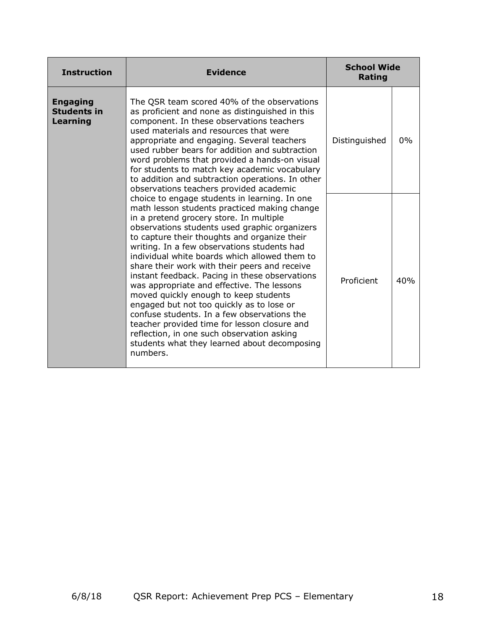| <b>Instruction</b>                                | <b>Evidence</b>                                                                                                                                                                                                                                                                                                                                                                                                                                                                                                                                                                                                                                                                                                                                                                           | <b>School Wide</b><br>Rating |       |
|---------------------------------------------------|-------------------------------------------------------------------------------------------------------------------------------------------------------------------------------------------------------------------------------------------------------------------------------------------------------------------------------------------------------------------------------------------------------------------------------------------------------------------------------------------------------------------------------------------------------------------------------------------------------------------------------------------------------------------------------------------------------------------------------------------------------------------------------------------|------------------------------|-------|
| <b>Engaging</b><br><b>Students in</b><br>Learning | The QSR team scored 40% of the observations<br>as proficient and none as distinguished in this<br>component. In these observations teachers<br>used materials and resources that were<br>appropriate and engaging. Several teachers<br>used rubber bears for addition and subtraction<br>word problems that provided a hands-on visual<br>for students to match key academic vocabulary<br>to addition and subtraction operations. In other<br>observations teachers provided academic                                                                                                                                                                                                                                                                                                    | Distinguished                | $0\%$ |
|                                                   | choice to engage students in learning. In one<br>math lesson students practiced making change<br>in a pretend grocery store. In multiple<br>observations students used graphic organizers<br>to capture their thoughts and organize their<br>writing. In a few observations students had<br>individual white boards which allowed them to<br>share their work with their peers and receive<br>instant feedback. Pacing in these observations<br>was appropriate and effective. The lessons<br>moved quickly enough to keep students<br>engaged but not too quickly as to lose or<br>confuse students. In a few observations the<br>teacher provided time for lesson closure and<br>reflection, in one such observation asking<br>students what they learned about decomposing<br>numbers. | Proficient                   | 40%   |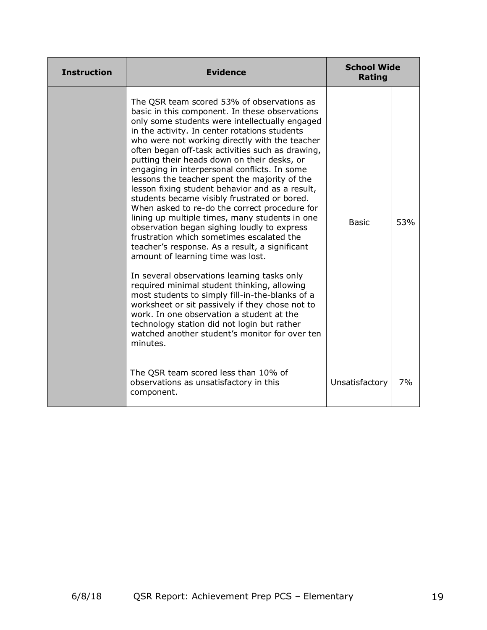| <b>Instruction</b> | <b>Evidence</b>                                                                                                                                                                                                                                                                                                                                                                                                                                                                                                                                                                                                                                                                                                                                                                                                                                                                                                                                                                                                                                                                                                                                                                                              | <b>School Wide</b><br><b>Rating</b> |     |  |
|--------------------|--------------------------------------------------------------------------------------------------------------------------------------------------------------------------------------------------------------------------------------------------------------------------------------------------------------------------------------------------------------------------------------------------------------------------------------------------------------------------------------------------------------------------------------------------------------------------------------------------------------------------------------------------------------------------------------------------------------------------------------------------------------------------------------------------------------------------------------------------------------------------------------------------------------------------------------------------------------------------------------------------------------------------------------------------------------------------------------------------------------------------------------------------------------------------------------------------------------|-------------------------------------|-----|--|
|                    | The QSR team scored 53% of observations as<br>basic in this component. In these observations<br>only some students were intellectually engaged<br>in the activity. In center rotations students<br>who were not working directly with the teacher<br>often began off-task activities such as drawing,<br>putting their heads down on their desks, or<br>engaging in interpersonal conflicts. In some<br>lessons the teacher spent the majority of the<br>lesson fixing student behavior and as a result,<br>students became visibly frustrated or bored.<br>When asked to re-do the correct procedure for<br>lining up multiple times, many students in one<br>observation began sighing loudly to express<br>frustration which sometimes escalated the<br>teacher's response. As a result, a significant<br>amount of learning time was lost.<br>In several observations learning tasks only<br>required minimal student thinking, allowing<br>most students to simply fill-in-the-blanks of a<br>worksheet or sit passively if they chose not to<br>work. In one observation a student at the<br>technology station did not login but rather<br>watched another student's monitor for over ten<br>minutes. | <b>Basic</b>                        | 53% |  |
|                    | The QSR team scored less than 10% of<br>observations as unsatisfactory in this<br>component.                                                                                                                                                                                                                                                                                                                                                                                                                                                                                                                                                                                                                                                                                                                                                                                                                                                                                                                                                                                                                                                                                                                 | Unsatisfactory                      | 7%  |  |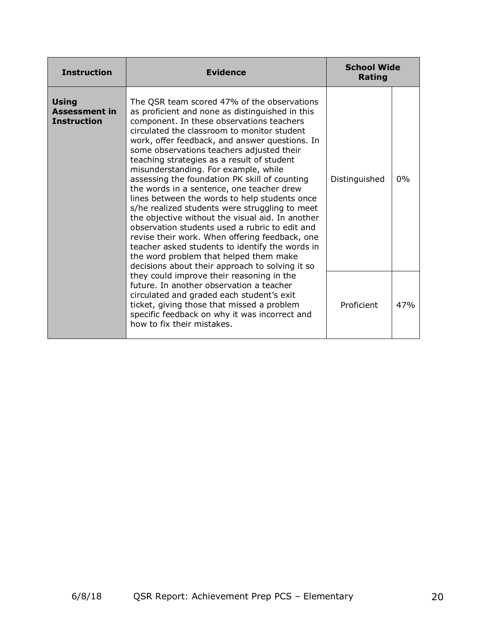| <b>Instruction</b>                                         | <b>Evidence</b>                                                                                                                                                                                                                                                                                                                                                                                                                                                                                                                                                                                                                                                                                                                                                                                                                                                                          | <b>School Wide</b><br>Rating |       |
|------------------------------------------------------------|------------------------------------------------------------------------------------------------------------------------------------------------------------------------------------------------------------------------------------------------------------------------------------------------------------------------------------------------------------------------------------------------------------------------------------------------------------------------------------------------------------------------------------------------------------------------------------------------------------------------------------------------------------------------------------------------------------------------------------------------------------------------------------------------------------------------------------------------------------------------------------------|------------------------------|-------|
| <b>Using</b><br><b>Assessment in</b><br><b>Instruction</b> | The QSR team scored 47% of the observations<br>as proficient and none as distinguished in this<br>component. In these observations teachers<br>circulated the classroom to monitor student<br>work, offer feedback, and answer questions. In<br>some observations teachers adjusted their<br>teaching strategies as a result of student<br>misunderstanding. For example, while<br>assessing the foundation PK skill of counting<br>the words in a sentence, one teacher drew<br>lines between the words to help students once<br>s/he realized students were struggling to meet<br>the objective without the visual aid. In another<br>observation students used a rubric to edit and<br>revise their work. When offering feedback, one<br>teacher asked students to identify the words in<br>the word problem that helped them make<br>decisions about their approach to solving it so | Distinguished                | $0\%$ |
|                                                            | they could improve their reasoning in the<br>future. In another observation a teacher<br>circulated and graded each student's exit<br>ticket, giving those that missed a problem<br>specific feedback on why it was incorrect and<br>how to fix their mistakes.                                                                                                                                                                                                                                                                                                                                                                                                                                                                                                                                                                                                                          | Proficient                   | 47%   |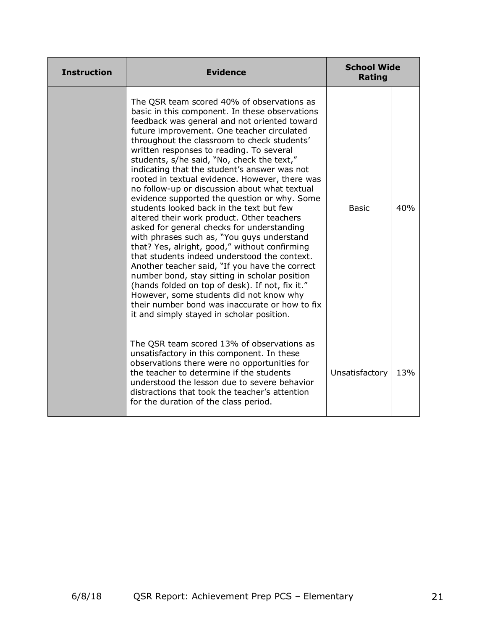| <b>Instruction</b> | <b>Evidence</b>                                                                                                                                                                                                                                                                                                                                                                                                                                                                                                                                                                                                                                                                                                                                                                                                                                                                                                                                                                                                                                                                                                               | <b>School Wide</b><br><b>Rating</b> |     |
|--------------------|-------------------------------------------------------------------------------------------------------------------------------------------------------------------------------------------------------------------------------------------------------------------------------------------------------------------------------------------------------------------------------------------------------------------------------------------------------------------------------------------------------------------------------------------------------------------------------------------------------------------------------------------------------------------------------------------------------------------------------------------------------------------------------------------------------------------------------------------------------------------------------------------------------------------------------------------------------------------------------------------------------------------------------------------------------------------------------------------------------------------------------|-------------------------------------|-----|
|                    | The QSR team scored 40% of observations as<br>basic in this component. In these observations<br>feedback was general and not oriented toward<br>future improvement. One teacher circulated<br>throughout the classroom to check students'<br>written responses to reading. To several<br>students, s/he said, "No, check the text,"<br>indicating that the student's answer was not<br>rooted in textual evidence. However, there was<br>no follow-up or discussion about what textual<br>evidence supported the question or why. Some<br>students looked back in the text but few<br>altered their work product. Other teachers<br>asked for general checks for understanding<br>with phrases such as, "You guys understand<br>that? Yes, alright, good," without confirming<br>that students indeed understood the context.<br>Another teacher said, "If you have the correct<br>number bond, stay sitting in scholar position<br>(hands folded on top of desk). If not, fix it."<br>However, some students did not know why<br>their number bond was inaccurate or how to fix<br>it and simply stayed in scholar position. | <b>Basic</b>                        | 40% |
|                    | The QSR team scored 13% of observations as<br>unsatisfactory in this component. In these<br>observations there were no opportunities for<br>the teacher to determine if the students<br>understood the lesson due to severe behavior<br>distractions that took the teacher's attention<br>for the duration of the class period.                                                                                                                                                                                                                                                                                                                                                                                                                                                                                                                                                                                                                                                                                                                                                                                               | Unsatisfactory                      | 13% |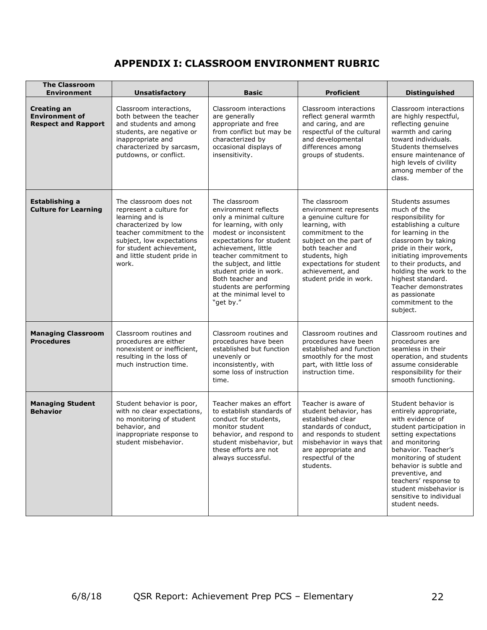# **APPENDIX I: CLASSROOM ENVIRONMENT RUBRIC**

| <b>The Classroom</b><br><b>Environment</b>                                | <b>Unsatisfactory</b>                                                                                                                                                                                                      | <b>Basic</b>                                                                                                                                                                                                                                                                                                                                 | <b>Proficient</b>                                                                                                                                                                                                                                 | <b>Distinguished</b>                                                                                                                                                                                                                                                                                                                 |
|---------------------------------------------------------------------------|----------------------------------------------------------------------------------------------------------------------------------------------------------------------------------------------------------------------------|----------------------------------------------------------------------------------------------------------------------------------------------------------------------------------------------------------------------------------------------------------------------------------------------------------------------------------------------|---------------------------------------------------------------------------------------------------------------------------------------------------------------------------------------------------------------------------------------------------|--------------------------------------------------------------------------------------------------------------------------------------------------------------------------------------------------------------------------------------------------------------------------------------------------------------------------------------|
| <b>Creating an</b><br><b>Environment of</b><br><b>Respect and Rapport</b> | Classroom interactions,<br>both between the teacher<br>and students and among<br>students, are negative or<br>inappropriate and<br>characterized by sarcasm,<br>putdowns, or conflict.                                     | Classroom interactions<br>are generally<br>appropriate and free<br>from conflict but may be<br>characterized by<br>occasional displays of<br>insensitivity.                                                                                                                                                                                  | Classroom interactions<br>reflect general warmth<br>and caring, and are<br>respectful of the cultural<br>and developmental<br>differences among<br>groups of students.                                                                            | Classroom interactions<br>are highly respectful,<br>reflecting genuine<br>warmth and caring<br>toward individuals.<br>Students themselves<br>ensure maintenance of<br>high levels of civility<br>among member of the<br>class.                                                                                                       |
| Establishing a<br><b>Culture for Learning</b>                             | The classroom does not<br>represent a culture for<br>learning and is<br>characterized by low<br>teacher commitment to the<br>subject, low expectations<br>for student achievement,<br>and little student pride in<br>work. | The classroom<br>environment reflects<br>only a minimal culture<br>for learning, with only<br>modest or inconsistent<br>expectations for student<br>achievement, little<br>teacher commitment to<br>the subject, and little<br>student pride in work.<br>Both teacher and<br>students are performing<br>at the minimal level to<br>"get by." | The classroom<br>environment represents<br>a genuine culture for<br>learning, with<br>commitment to the<br>subject on the part of<br>both teacher and<br>students, high<br>expectations for student<br>achievement, and<br>student pride in work. | Students assumes<br>much of the<br>responsibility for<br>establishing a culture<br>for learning in the<br>classroom by taking<br>pride in their work,<br>initiating improvements<br>to their products, and<br>holding the work to the<br>highest standard.<br>Teacher demonstrates<br>as passionate<br>commitment to the<br>subject. |
| <b>Managing Classroom</b><br><b>Procedures</b>                            | Classroom routines and<br>procedures are either<br>nonexistent or inefficient,<br>resulting in the loss of<br>much instruction time.                                                                                       | Classroom routines and<br>procedures have been<br>established but function<br>unevenly or<br>inconsistently, with<br>some loss of instruction<br>time.                                                                                                                                                                                       | Classroom routines and<br>procedures have been<br>established and function<br>smoothly for the most<br>part, with little loss of<br>instruction time.                                                                                             | Classroom routines and<br>procedures are<br>seamless in their<br>operation, and students<br>assume considerable<br>responsibility for their<br>smooth functioning.                                                                                                                                                                   |
| <b>Managing Student</b><br><b>Behavior</b>                                | Student behavior is poor,<br>with no clear expectations,<br>no monitoring of student<br>behavior, and<br>inappropriate response to<br>student misbehavior.                                                                 | Teacher makes an effort<br>to establish standards of<br>conduct for students,<br>monitor student<br>behavior, and respond to<br>student misbehavior, but<br>these efforts are not<br>always successful.                                                                                                                                      | Teacher is aware of<br>student behavior, has<br>established clear<br>standards of conduct.<br>and responds to student<br>misbehavior in ways that<br>are appropriate and<br>respectful of the<br>students.                                        | Student behavior is<br>entirely appropriate,<br>with evidence of<br>student participation in<br>setting expectations<br>and monitoring<br>behavior. Teacher's<br>monitoring of student<br>behavior is subtle and<br>preventive, and<br>teachers' response to<br>student misbehavior is<br>sensitive to individual<br>student needs.  |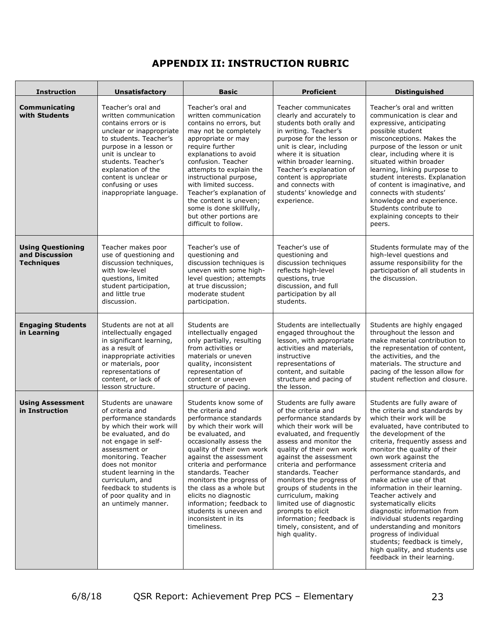# **APPENDIX II: INSTRUCTION RUBRIC**

| <b>Instruction</b>                                              | <b>Unsatisfactory</b>                                                                                                                                                                                                                                                                                                             | <b>Basic</b>                                                                                                                                                                                                                                                                                                                                                                                                                         | <b>Proficient</b>                                                                                                                                                                                                                                                                                                                                                                                                                                                                   | <b>Distinguished</b>                                                                                                                                                                                                                                                                                                                                                                                                                                                                                                                                                                                                                              |  |
|-----------------------------------------------------------------|-----------------------------------------------------------------------------------------------------------------------------------------------------------------------------------------------------------------------------------------------------------------------------------------------------------------------------------|--------------------------------------------------------------------------------------------------------------------------------------------------------------------------------------------------------------------------------------------------------------------------------------------------------------------------------------------------------------------------------------------------------------------------------------|-------------------------------------------------------------------------------------------------------------------------------------------------------------------------------------------------------------------------------------------------------------------------------------------------------------------------------------------------------------------------------------------------------------------------------------------------------------------------------------|---------------------------------------------------------------------------------------------------------------------------------------------------------------------------------------------------------------------------------------------------------------------------------------------------------------------------------------------------------------------------------------------------------------------------------------------------------------------------------------------------------------------------------------------------------------------------------------------------------------------------------------------------|--|
| Communicating<br>with Students                                  | Teacher's oral and<br>written communication<br>contains errors or is<br>unclear or inappropriate<br>to students. Teacher's<br>purpose in a lesson or<br>unit is unclear to<br>students. Teacher's<br>explanation of the<br>content is unclear or<br>confusing or uses<br>inappropriate language.                                  | Teacher's oral and<br>written communication<br>contains no errors, but<br>may not be completely<br>appropriate or may<br>require further<br>explanations to avoid<br>confusion. Teacher<br>attempts to explain the<br>instructional purpose,<br>with limited success.<br>Teacher's explanation of<br>the content is uneven;<br>some is done skillfully,<br>but other portions are<br>difficult to follow.                            | Teacher communicates<br>clearly and accurately to<br>students both orally and<br>in writing. Teacher's<br>purpose for the lesson or<br>unit is clear, including<br>where it is situation<br>within broader learning.<br>Teacher's explanation of<br>content is appropriate<br>and connects with<br>students' knowledge and<br>experience.                                                                                                                                           | Teacher's oral and written<br>communication is clear and<br>expressive, anticipating<br>possible student<br>misconceptions. Makes the<br>purpose of the lesson or unit<br>clear, including where it is<br>situated within broader<br>learning, linking purpose to<br>student interests. Explanation<br>of content is imaginative, and<br>connects with students'<br>knowledge and experience.<br>Students contribute to<br>explaining concepts to their<br>peers.                                                                                                                                                                                 |  |
| <b>Using Questioning</b><br>and Discussion<br><b>Techniques</b> | Teacher makes poor<br>use of questioning and<br>discussion techniques,<br>with low-level<br>questions, limited<br>student participation,<br>and little true<br>discussion.                                                                                                                                                        | Teacher's use of<br>questioning and<br>discussion techniques is<br>uneven with some high-<br>level question; attempts<br>at true discussion;<br>moderate student<br>participation.                                                                                                                                                                                                                                                   | Teacher's use of<br>questioning and<br>discussion techniques<br>reflects high-level<br>questions, true<br>discussion, and full<br>participation by all<br>students.                                                                                                                                                                                                                                                                                                                 | Students formulate may of the<br>high-level questions and<br>assume responsibility for the<br>participation of all students in<br>the discussion.                                                                                                                                                                                                                                                                                                                                                                                                                                                                                                 |  |
| <b>Engaging Students</b><br>in Learning                         | Students are not at all<br>intellectually engaged<br>in significant learning,<br>as a result of<br>inappropriate activities<br>or materials, poor<br>representations of<br>content, or lack of<br>lesson structure.                                                                                                               | Students are<br>intellectually engaged<br>only partially, resulting<br>from activities or<br>materials or uneven<br>quality, inconsistent<br>representation of<br>content or uneven<br>structure of pacing.                                                                                                                                                                                                                          | Students are intellectually<br>engaged throughout the<br>lesson, with appropriate<br>activities and materials,<br>instructive<br>representations of<br>content, and suitable<br>structure and pacing of<br>the lesson.                                                                                                                                                                                                                                                              | Students are highly engaged<br>throughout the lesson and<br>make material contribution to<br>the representation of content,<br>the activities, and the<br>materials. The structure and<br>pacing of the lesson allow for<br>student reflection and closure.                                                                                                                                                                                                                                                                                                                                                                                       |  |
| <b>Using Assessment</b><br>in Instruction                       | Students are unaware<br>of criteria and<br>performance standards<br>by which their work will<br>be evaluated, and do<br>not engage in self-<br>assessment or<br>monitoring. Teacher<br>does not monitor<br>student learning in the<br>curriculum, and<br>feedback to students is<br>of poor quality and in<br>an untimely manner. | Students know some of<br>the criteria and<br>performance standards<br>by which their work will<br>be evaluated, and<br>occasionally assess the<br>quality of their own work<br>against the assessment<br>criteria and performance<br>standards. Teacher<br>monitors the progress of<br>the class as a whole but<br>elicits no diagnostic<br>information; feedback to<br>students is uneven and<br>inconsistent in its<br>timeliness. | Students are fully aware<br>of the criteria and<br>performance standards by<br>which their work will be<br>evaluated, and frequently<br>assess and monitor the<br>quality of their own work<br>against the assessment<br>criteria and performance<br>standards. Teacher<br>monitors the progress of<br>groups of students in the<br>curriculum, making<br>limited use of diagnostic<br>prompts to elicit<br>information; feedback is<br>timely, consistent, and of<br>high quality. | Students are fully aware of<br>the criteria and standards by<br>which their work will be<br>evaluated, have contributed to<br>the development of the<br>criteria, frequently assess and<br>monitor the quality of their<br>own work against the<br>assessment criteria and<br>performance standards, and<br>make active use of that<br>information in their learning.<br>Teacher actively and<br>systematically elicits<br>diagnostic information from<br>individual students regarding<br>understanding and monitors<br>progress of individual<br>students; feedback is timely,<br>high quality, and students use<br>feedback in their learning. |  |